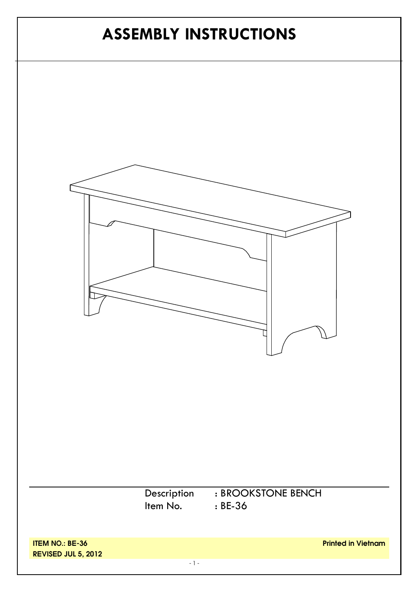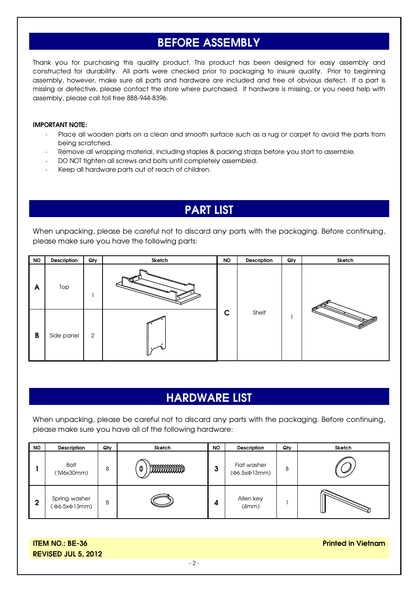### **BEFORE ASSEMBLY**

Thank you for purchasing this quality product. This product has been designed for easy assembly and constructed for durability. All parts were checked prior to packaging to insure quality. Prior to beginning assembly, however, make sure all parts and hardware are included and free of obvious defect. If a part is missing or defective, please contact the store where purchased. If hardware is missing, or you need help with assembly, please call toll free 888-944-8396.

#### **IMPORTANT NOTE:**

- Place all wooden parts on a clean and smooth surface such as a rug or carpet to avoid the parts from being scratched.
- Remove all wrapping material, including staples & packing straps before you start to assemble.
- DO NOT tighten all screws and bolts until completely assembled.
- Keep all hardware parts out of reach of children.

## **PART LIST**

When unpacking, please be careful not to discard any parts with the packaging. Before continuing, please make sure you have the following parts:

| <b>NO</b> | Description | Qty | Sketch | <b>NO</b> | Description | Qty | Sketch |
|-----------|-------------|-----|--------|-----------|-------------|-----|--------|
| A         | Top         |     | ∽      |           |             |     |        |
| B         | Side panel  | 2   |        | C         | Shelf       |     |        |

## **HARDWARE LIST**

When unpacking, please be careful not to discard any parts with the packaging. Before continuing, please make sure you have all of the following hardware:

| <b>NO</b> | Description                   | Qty | Sketch     | <b>NO</b> | <b>Description</b>                  | Qty | Sketch |
|-----------|-------------------------------|-----|------------|-----------|-------------------------------------|-----|--------|
|           | <b>Bolt</b><br>(M6x30mm)      | 8   | mmmmm<br>0 | J         | Flat washer<br>$(\Phi6.5x\Phi13mm)$ | 8   |        |
| 2         | Spring washer<br>(Ф6.5xФ13mm) | 8   |            | 4         | Allen key<br>(4mm)                  |     |        |

**ITEM NO.: BE-36 REVISED JUL 5, 2012** **Printed in Vietnam**